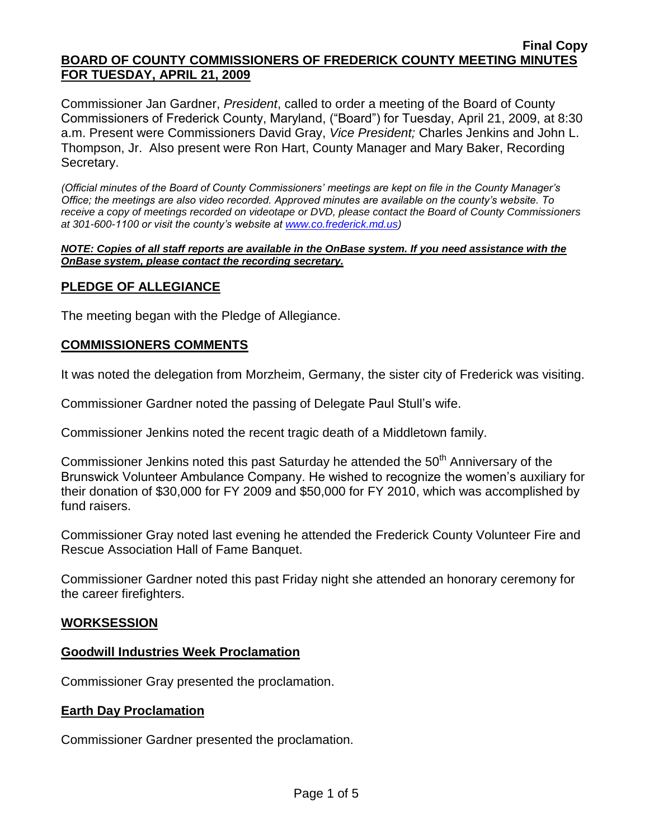Commissioner Jan Gardner, *President*, called to order a meeting of the Board of County Commissioners of Frederick County, Maryland, ("Board") for Tuesday, April 21, 2009, at 8:30 a.m. Present were Commissioners David Gray, *Vice President;* Charles Jenkins and John L. Thompson, Jr. Also present were Ron Hart, County Manager and Mary Baker, Recording Secretary.

*(Official minutes of the Board of County Commissioners' meetings are kept on file in the County Manager's Office; the meetings are also video recorded. Approved minutes are available on the county's website. To receive a copy of meetings recorded on videotape or DVD, please contact the Board of County Commissioners at 301-600-1100 or visit the county's website at [www.co.frederick.md.us\)](http://www.co.frederick.md.us/)*

#### *NOTE: Copies of all staff reports are available in the OnBase system. If you need assistance with the OnBase system, please contact the recording secretary.*

# **PLEDGE OF ALLEGIANCE**

The meeting began with the Pledge of Allegiance.

## **COMMISSIONERS COMMENTS**

It was noted the delegation from Morzheim, Germany, the sister city of Frederick was visiting.

Commissioner Gardner noted the passing of Delegate Paul Stull's wife.

Commissioner Jenkins noted the recent tragic death of a Middletown family.

Commissioner Jenkins noted this past Saturday he attended the 50<sup>th</sup> Anniversary of the Brunswick Volunteer Ambulance Company. He wished to recognize the women's auxiliary for their donation of \$30,000 for FY 2009 and \$50,000 for FY 2010, which was accomplished by fund raisers.

Commissioner Gray noted last evening he attended the Frederick County Volunteer Fire and Rescue Association Hall of Fame Banquet.

Commissioner Gardner noted this past Friday night she attended an honorary ceremony for the career firefighters.

## **WORKSESSION**

## **Goodwill Industries Week Proclamation**

Commissioner Gray presented the proclamation.

## **Earth Day Proclamation**

Commissioner Gardner presented the proclamation.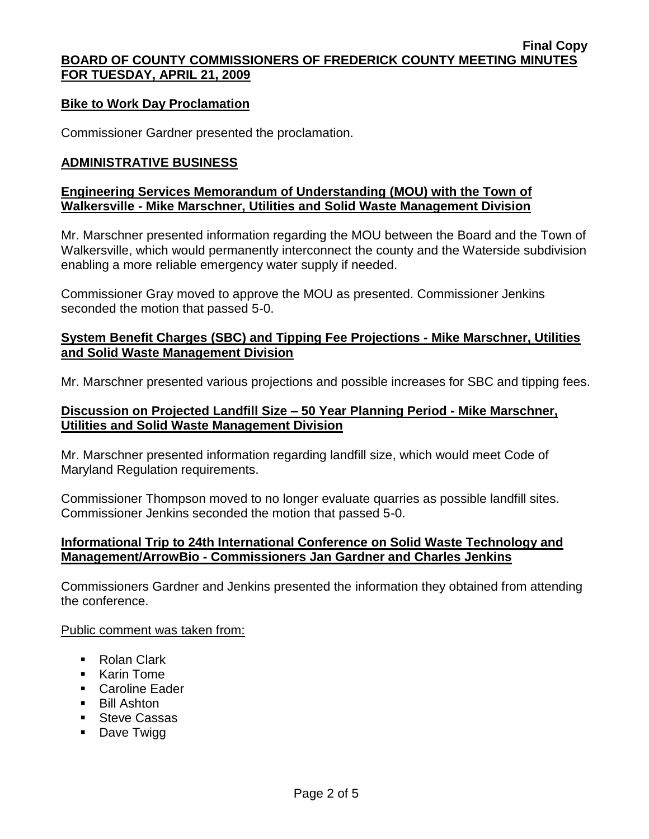## **Bike to Work Day Proclamation**

Commissioner Gardner presented the proclamation.

#### **ADMINISTRATIVE BUSINESS**

## **Engineering Services Memorandum of Understanding (MOU) with the Town of Walkersville - Mike Marschner, Utilities and Solid Waste Management Division**

Mr. Marschner presented information regarding the MOU between the Board and the Town of Walkersville, which would permanently interconnect the county and the Waterside subdivision enabling a more reliable emergency water supply if needed.

Commissioner Gray moved to approve the MOU as presented. Commissioner Jenkins seconded the motion that passed 5-0.

#### **System Benefit Charges (SBC) and Tipping Fee Projections - Mike Marschner, Utilities and Solid Waste Management Division**

Mr. Marschner presented various projections and possible increases for SBC and tipping fees.

#### **Discussion on Projected Landfill Size – 50 Year Planning Period - Mike Marschner, Utilities and Solid Waste Management Division**

Mr. Marschner presented information regarding landfill size, which would meet Code of Maryland Regulation requirements.

Commissioner Thompson moved to no longer evaluate quarries as possible landfill sites. Commissioner Jenkins seconded the motion that passed 5-0.

## **Informational Trip to 24th International Conference on Solid Waste Technology and Management/ArrowBio - Commissioners Jan Gardner and Charles Jenkins**

Commissioners Gardner and Jenkins presented the information they obtained from attending the conference.

Public comment was taken from:

- Rolan Clark
- Karin Tome
- **Caroline Eader**
- **Bill Ashton**
- **Steve Cassas**
- Dave Twigg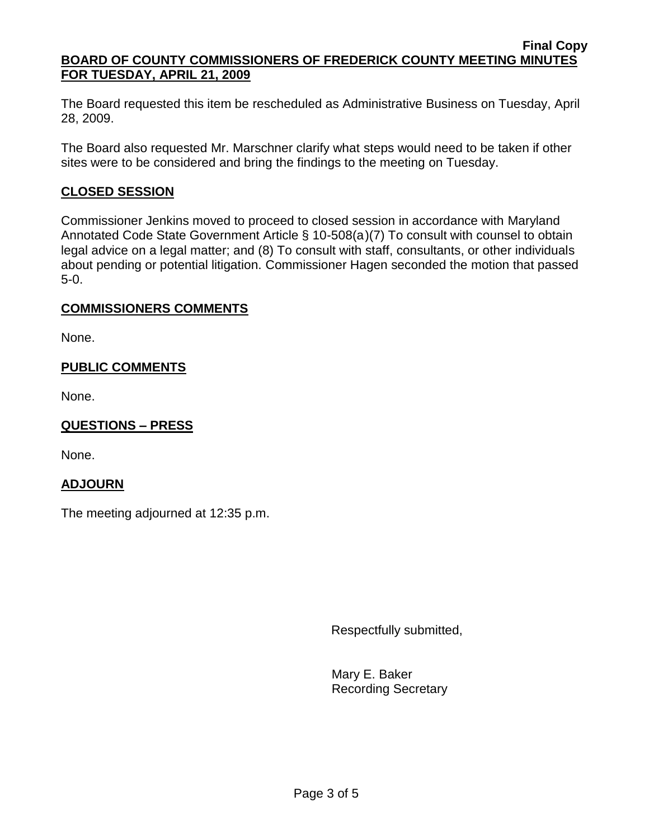The Board requested this item be rescheduled as Administrative Business on Tuesday, April 28, 2009.

The Board also requested Mr. Marschner clarify what steps would need to be taken if other sites were to be considered and bring the findings to the meeting on Tuesday.

# **CLOSED SESSION**

Commissioner Jenkins moved to proceed to closed session in accordance with Maryland Annotated Code State Government Article § 10-508(a)(7) To consult with counsel to obtain legal advice on a legal matter; and (8) To consult with staff, consultants, or other individuals about pending or potential litigation. Commissioner Hagen seconded the motion that passed 5-0.

# **COMMISSIONERS COMMENTS**

None.

# **PUBLIC COMMENTS**

None.

# **QUESTIONS – PRESS**

None.

## **ADJOURN**

The meeting adjourned at 12:35 p.m.

Respectfully submitted,

Mary E. Baker Recording Secretary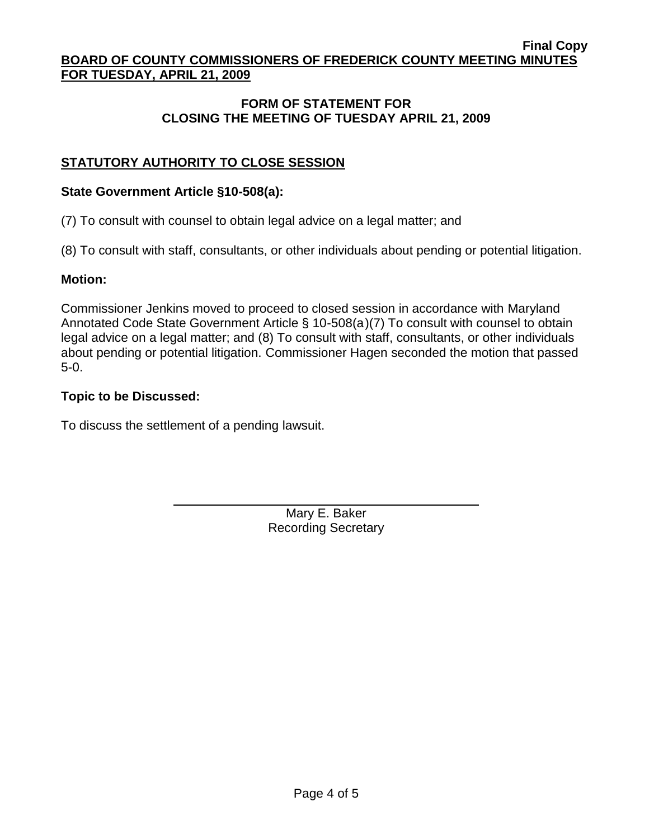# **FORM OF STATEMENT FOR CLOSING THE MEETING OF TUESDAY APRIL 21, 2009**

# **STATUTORY AUTHORITY TO CLOSE SESSION**

## **State Government Article §10-508(a):**

(7) To consult with counsel to obtain legal advice on a legal matter; and

(8) To consult with staff, consultants, or other individuals about pending or potential litigation.

## **Motion:**

Commissioner Jenkins moved to proceed to closed session in accordance with Maryland Annotated Code State Government Article § 10-508(a)(7) To consult with counsel to obtain legal advice on a legal matter; and (8) To consult with staff, consultants, or other individuals about pending or potential litigation. Commissioner Hagen seconded the motion that passed 5-0.

# **Topic to be Discussed:**

To discuss the settlement of a pending lawsuit.

Mary E. Baker Recording Secretary